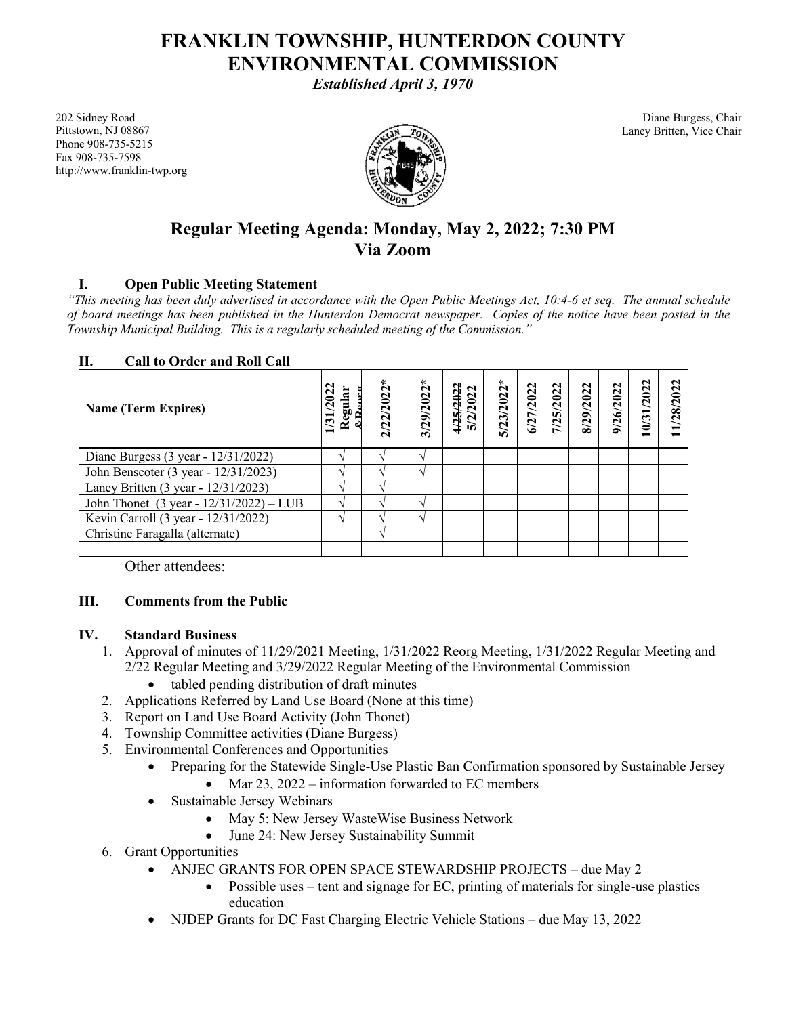# **FRANKLIN TOWNSHIP, HUNTERDON COUNTY ENVIRONMENTAL COMMISSION**

*Established April 3, 1970*

202 Sidney Road Pittstown, NJ 08867 Phone 908-735-5215 Fax 908-735-7598 http://www.franklin-twp.org



Diane Burgess, Chair Laney Britten, Vice Chair

## **Regular Meeting Agenda: Monday, May 2, 2022; 7:30 PM Via Zoom**

## **I. Open Public Meeting Statement**

*"This meeting has been duly advertised in accordance with the Open Public Meetings Act, 10:4-6 et seq. The annual schedule of board meetings has been published in the Hunterdon Democrat newspaper. Copies of the notice have been posted in the Township Municipal Building. This is a regularly scheduled meeting of the Commission."*

#### **II. Call to Order and Roll Call**

| <b>Name (Term Expires)</b>                 | ನ<br>$\boldsymbol{c}$<br>Regul:<br>$\overline{31}$ | $2/22/2022*$      | $3/29/2022*$ | 4/25/2022<br>5/2/2022 | $5/23/2022*$ | 6/27/2022 | 1/25/2022 | 8/29/2022 | 9/26/2022 | 10/31/2022 | 11/28/2022 |
|--------------------------------------------|----------------------------------------------------|-------------------|--------------|-----------------------|--------------|-----------|-----------|-----------|-----------|------------|------------|
| Diane Burgess (3 year - 12/31/2022)        |                                                    |                   |              |                       |              |           |           |           |           |            |            |
| John Benscoter (3 year - 12/31/2023)       |                                                    |                   |              |                       |              |           |           |           |           |            |            |
| Laney Britten (3 year - 12/31/2023)        |                                                    |                   |              |                       |              |           |           |           |           |            |            |
| John Thonet (3 year - $12/31/2022$ ) – LUB |                                                    |                   | $\Delta$     |                       |              |           |           |           |           |            |            |
| Kevin Carroll (3 year - 12/31/2022)        |                                                    |                   |              |                       |              |           |           |           |           |            |            |
| Christine Faragalla (alternate)            |                                                    | $\mathbf \Lambda$ |              |                       |              |           |           |           |           |            |            |
|                                            |                                                    |                   |              |                       |              |           |           |           |           |            |            |

Other attendees:

## **III. Comments from the Public**

#### **IV. Standard Business**

- 1. Approval of minutes of 11/29/2021 Meeting, 1/31/2022 Reorg Meeting, 1/31/2022 Regular Meeting and 2/22 Regular Meeting and 3/29/2022 Regular Meeting of the Environmental Commission
	- tabled pending distribution of draft minutes
- 2. Applications Referred by Land Use Board (None at this time)
- 3. Report on Land Use Board Activity (John Thonet)
- 4. Township Committee activities (Diane Burgess)
- 5. Environmental Conferences and Opportunities
	- Preparing for the Statewide Single-Use Plastic Ban Confirmation sponsored by Sustainable Jersey
		- Mar  $23$ ,  $2022$  information forwarded to EC members
	- Sustainable Jersey Webinars
		- May 5: New Jersey WasteWise Business Network
		- June 24: New Jersey Sustainability Summit
- 6. Grant Opportunities
	- ANJEC GRANTS FOR OPEN SPACE STEWARDSHIP PROJECTS due May 2
		- Possible uses tent and signage for EC, printing of materials for single-use plastics education
	- NJDEP Grants for DC Fast Charging Electric Vehicle Stations due May 13, 2022